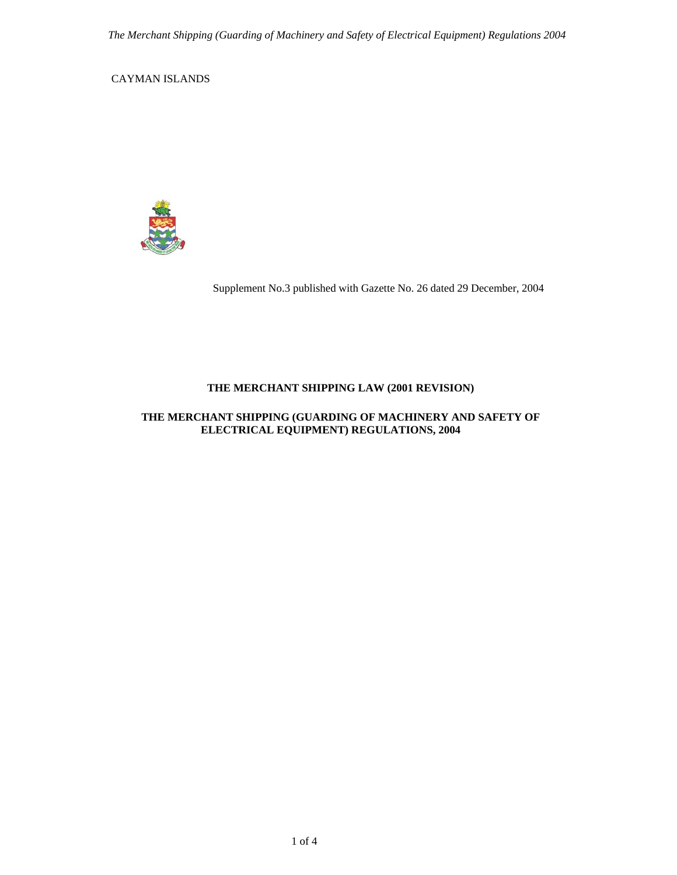CAYMAN ISLANDS



Supplement No.3 published with Gazette No. 26 dated 29 December, 2004

# **THE MERCHANT SHIPPING LAW (2001 REVISION)**

### **THE MERCHANT SHIPPING (GUARDING OF MACHINERY AND SAFETY OF ELECTRICAL EQUIPMENT) REGULATIONS, 2004**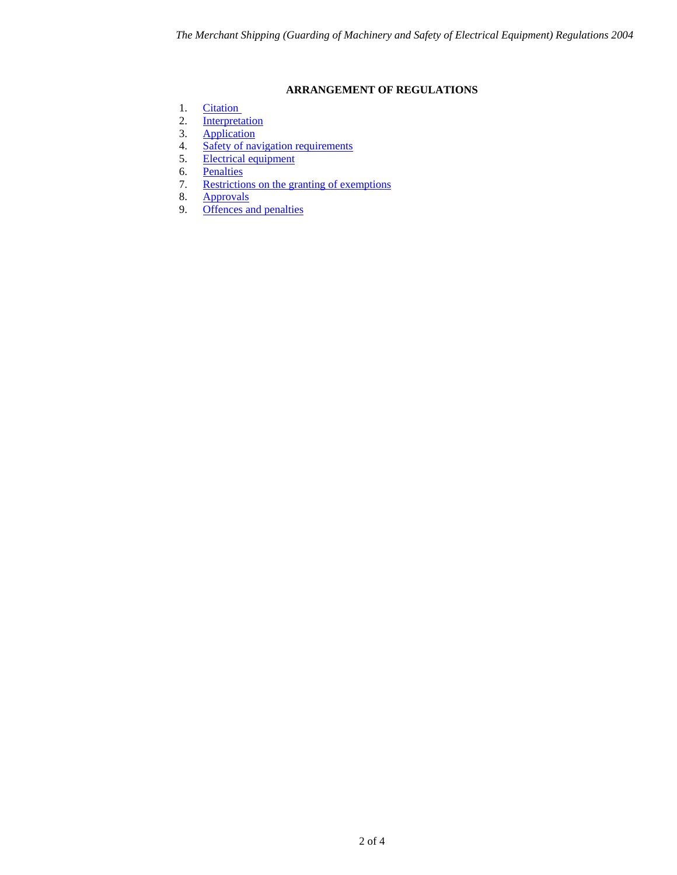## **ARRANGEMENT OF REGULATIONS**

- <span id="page-1-0"></span>1. Citation
- 2. [Interpretation](#page-2-1)<br>3. Application
- 3. [Application](#page-2-2)<br>4. Safety of nat
- 4. [Safety of navigation requirements](#page-2-3)<br>5. Electrical equipment
- 5. <u>[Electrical equipment](#page-3-0)</u><br>6. Penalties
- 6. [Penalties](#page-3-1)<br>7. Restriction
- 7. [Restrictions on the granting of exemptions](#page-3-2)<br>8. Approvals
- 8. [Approvals](#page-3-3)<br>9. Offences a
- [Offences and penalties](#page-3-4)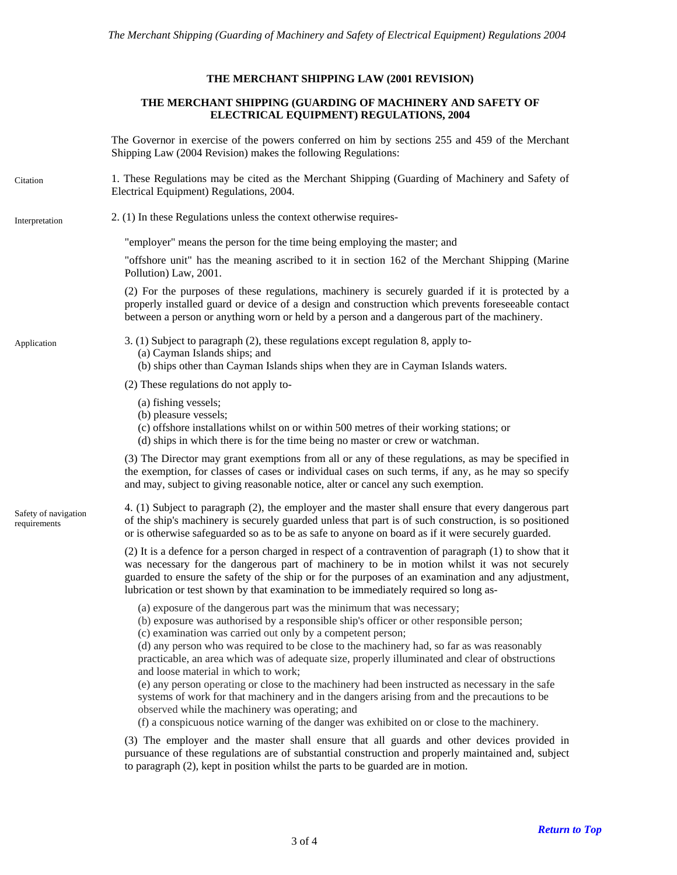### **THE MERCHANT SHIPPING LAW (2001 REVISION)**

### **THE MERCHANT SHIPPING (GUARDING OF MACHINERY AND SAFETY OF ELECTRICAL EQUIPMENT) REGULATIONS, 2004**

The Governor in exercise of the powers conferred on him by sections 255 and 459 of the Merchant Shipping Law (2004 Revision) makes the following Regulations:

<span id="page-2-0"></span>1. These Regulations may be cited as the Merchant Shipping (Guarding of Machinery and Safety of Electrical Equipment) Regulations, 2004. **Citation** 

## <span id="page-2-1"></span>Interpretation 2. (1) In these Regulations unless the context otherwise requires-

"employer" means the person for the time being employing the master; and

"offshore unit" has the meaning ascribed to it in section 162 of the Merchant Shipping (Marine Pollution) Law, 2001.

(2) For the purposes of these regulations, machinery is securely guarded if it is protected by a properly installed guard or device of a design and construction which prevents foreseeable contact between a person or anything worn or held by a person and a dangerous part of the machinery.

<span id="page-2-2"></span>Application 3. (1) Subject to paragraph (2), these regulations except regulation 8, apply to-

- (a) Cayman Islands ships; and
- (b) ships other than Cayman Islands ships when they are in Cayman Islands waters.

(2) These regulations do not apply to-

- (a) fishing vessels;
- (b) pleasure vessels;
- (c) offshore installations whilst on or within 500 metres of their working stations; or
- (d) ships in which there is for the time being no master or crew or watchman.

(3) The Director may grant exemptions from all or any of these regulations, as may be specified in the exemption, for classes of cases or individual cases on such terms, if any, as he may so specify and may, subject to giving reasonable notice, alter or cancel any such exemption.

<span id="page-2-3"></span>Safety of navigation requirements

4. (1) Subject to paragraph (2), the employer and the master shall ensure that every dangerous part of the ship's machinery is securely guarded unless that part is of such construction, is so positioned or is otherwise safeguarded so as to be as safe to anyone on board as if it were securely guarded.

(2) It is a defence for a person charged in respect of a contravention of paragraph (1) to show that it was necessary for the dangerous part of machinery to be in motion whilst it was not securely guarded to ensure the safety of the ship or for the purposes of an examination and any adjustment, lubrication or test shown by that examination to be immediately required so long as-

- (a) exposure of the dangerous part was the minimum that was necessary;
- (b) exposure was authorised by a responsible ship's officer or other responsible person;
- (c) examination was carried out only by a competent person;

(d) any person who was required to be close to the machinery had, so far as was reasonably practicable, an area which was of adequate size, properly illuminated and clear of obstructions and loose material in which to work;

(e) any person operating or close to the machinery had been instructed as necessary in the safe systems of work for that machinery and in the dangers arising from and the precautions to be observed while the machinery was operating; and

(f) a conspicuous notice warning of the danger was exhibited on or close to the machinery.

(3) The employer and the master shall ensure that all guards and other devices provided in pursuance of these regulations are of substantial construction and properly maintained and, subject to paragraph (2), kept in position whilst the parts to be guarded are in motion.